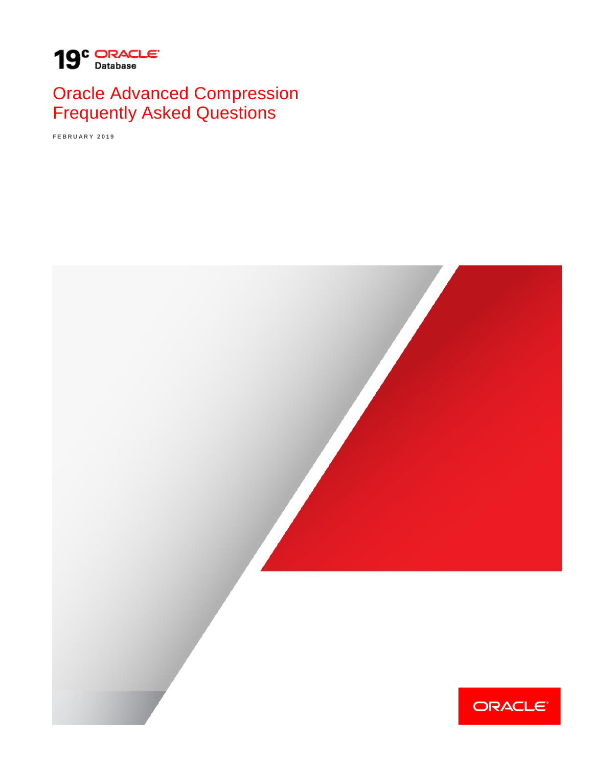

# Oracle Advanced Compression Frequently Asked Questions

**F E B R U A R Y 2 0 1 9**

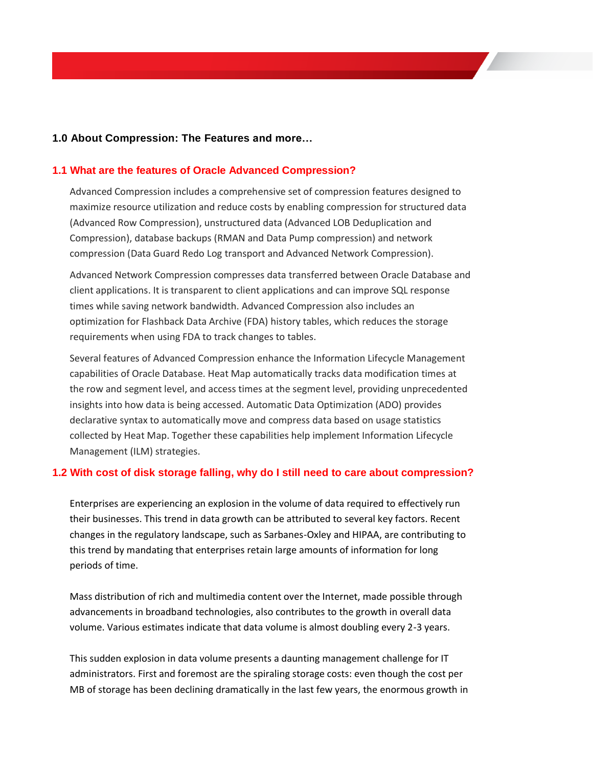#### **1.0 About Compression: The Features and more…**

#### **1.1 What are the features of Oracle Advanced Compression?**

Advanced Compression includes a comprehensive set of compression features designed to maximize resource utilization and reduce costs by enabling compression for structured data (Advanced Row Compression), unstructured data (Advanced LOB Deduplication and Compression), database backups (RMAN and Data Pump compression) and network compression (Data Guard Redo Log transport and Advanced Network Compression).

Advanced Network Compression compresses data transferred between Oracle Database and client applications. It is transparent to client applications and can improve SQL response times while saving network bandwidth. Advanced Compression also includes an optimization for Flashback Data Archive (FDA) history tables, which reduces the storage requirements when using FDA to track changes to tables.

Several features of Advanced Compression enhance the Information Lifecycle Management capabilities of Oracle Database. Heat Map automatically tracks data modification times at the row and segment level, and access times at the segment level, providing unprecedented insights into how data is being accessed. Automatic Data Optimization (ADO) provides declarative syntax to automatically move and compress data based on usage statistics collected by Heat Map. Together these capabilities help implement Information Lifecycle Management (ILM) strategies.

#### **1.2 With cost of disk storage falling, why do I still need to care about compression?**

Enterprises are experiencing an explosion in the volume of data required to effectively run their businesses. This trend in data growth can be attributed to several key factors. Recent changes in the regulatory landscape, such as Sarbanes-Oxley and HIPAA, are contributing to this trend by mandating that enterprises retain large amounts of information for long periods of time.

Mass distribution of rich and multimedia content over the Internet, made possible through advancements in broadband technologies, also contributes to the growth in overall data volume. Various estimates indicate that data volume is almost doubling every 2-3 years.

This sudden explosion in data volume presents a daunting management challenge for IT administrators. First and foremost are the spiraling storage costs: even though the cost per MB of storage has been declining dramatically in the last few years, the enormous growth in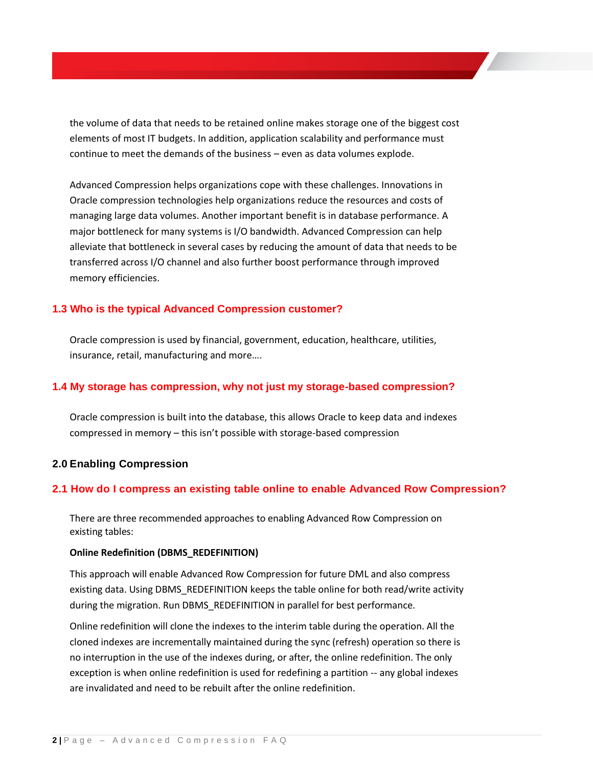the volume of data that needs to be retained online makes storage one of the biggest cost elements of most IT budgets. In addition, application scalability and performance must continue to meet the demands of the business – even as data volumes explode.

Advanced Compression helps organizations cope with these challenges. Innovations in Oracle compression technologies help organizations reduce the resources and costs of managing large data volumes. Another important benefit is in database performance. A major bottleneck for many systems is I/O bandwidth. Advanced Compression can help alleviate that bottleneck in several cases by reducing the amount of data that needs to be transferred across I/O channel and also further boost performance through improved memory efficiencies.

#### **1.3 Who is the typical Advanced Compression customer?**

Oracle compression is used by financial, government, education, healthcare, utilities, insurance, retail, manufacturing and more….

### **1.4 My storage has compression, why not just my storage-based compression?**

Oracle compression is built into the database, this allows Oracle to keep data and indexes compressed in memory – this isn't possible with storage-based compression

#### **2.0 Enabling Compression**

#### **2.1 How do I compress an existing table online to enable Advanced Row Compression?**

There are three recommended approaches to enabling Advanced Row Compression on existing tables:

#### **Online Redefinition (DBMS\_REDEFINITION)**

This approach will enable Advanced Row Compression for future DML and also compress existing data. Using DBMS\_REDEFINITION keeps the table online for both read/write activity during the migration. Run DBMS\_REDEFINITION in parallel for best performance.

Online redefinition will clone the indexes to the interim table during the operation. All the cloned indexes are incrementally maintained during the sync (refresh) operation so there is no interruption in the use of the indexes during, or after, the online redefinition. The only exception is when online redefinition is used for redefining a partition -- any global indexes are invalidated and need to be rebuilt after the online redefinition.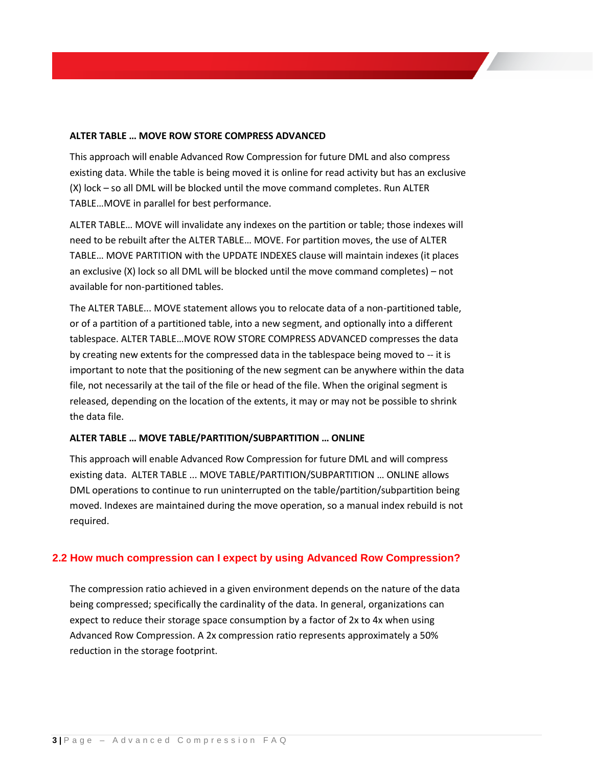#### **ALTER TABLE … MOVE ROW STORE COMPRESS ADVANCED**

This approach will enable Advanced Row Compression for future DML and also compress existing data. While the table is being moved it is online for read activity but has an exclusive (X) lock – so all DML will be blocked until the move command completes. Run ALTER TABLE…MOVE in parallel for best performance.

ALTER TABLE… MOVE will invalidate any indexes on the partition or table; those indexes will need to be rebuilt after the ALTER TABLE… MOVE. For partition moves, the use of ALTER TABLE… MOVE PARTITION with the UPDATE INDEXES clause will maintain indexes (it places an exclusive (X) lock so all DML will be blocked until the move command completes) – not available for non-partitioned tables.

The ALTER TABLE... MOVE statement allows you to relocate data of a non-partitioned table, or of a partition of a partitioned table, into a new segment, and optionally into a different tablespace. ALTER TABLE…MOVE ROW STORE COMPRESS ADVANCED compresses the data by creating new extents for the compressed data in the tablespace being moved to  $-$  it is important to note that the positioning of the new segment can be anywhere within the data file, not necessarily at the tail of the file or head of the file. When the original segment is released, depending on the location of the extents, it may or may not be possible to shrink the data file.

#### **ALTER TABLE … MOVE TABLE/PARTITION/SUBPARTITION … ONLINE**

This approach will enable Advanced Row Compression for future DML and will compress existing data. ALTER TABLE ... MOVE TABLE/PARTITION/SUBPARTITION … ONLINE allows DML operations to continue to run uninterrupted on the table/partition/subpartition being moved. Indexes are maintained during the move operation, so a manual index rebuild is not required.

#### **2.2 How much compression can I expect by using Advanced Row Compression?**

The compression ratio achieved in a given environment depends on the nature of the data being compressed; specifically the cardinality of the data. In general, organizations can expect to reduce their storage space consumption by a factor of 2x to 4x when using Advanced Row Compression. A 2x compression ratio represents approximately a 50% reduction in the storage footprint.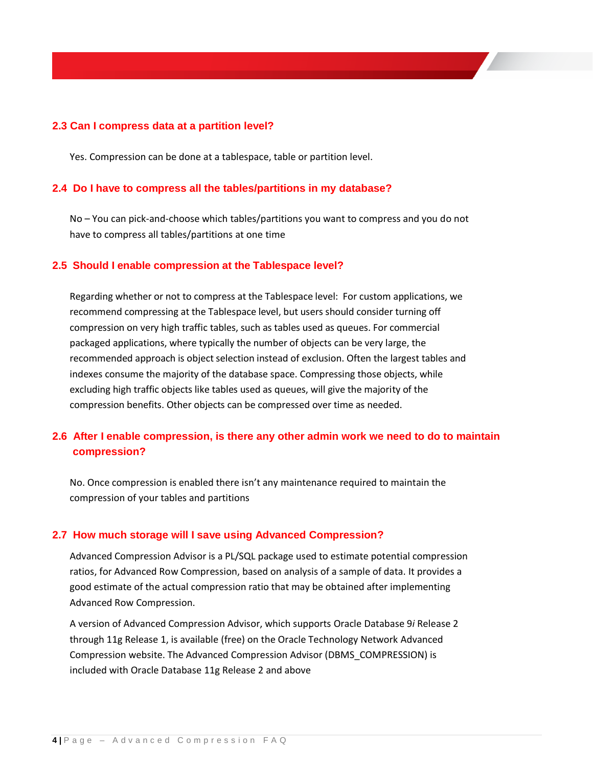#### **2.3 Can I compress data at a partition level?**

Yes. Compression can be done at a tablespace, table or partition level.

#### **2.4 Do I have to compress all the tables/partitions in my database?**

No – You can pick-and-choose which tables/partitions you want to compress and you do not have to compress all tables/partitions at one time

#### **2.5 Should I enable compression at the Tablespace level?**

Regarding whether or not to compress at the Tablespace level: For custom applications, we recommend compressing at the Tablespace level, but users should consider turning off compression on very high traffic tables, such as tables used as queues. For commercial packaged applications, where typically the number of objects can be very large, the recommended approach is object selection instead of exclusion. Often the largest tables and indexes consume the majority of the database space. Compressing those objects, while excluding high traffic objects like tables used as queues, will give the majority of the compression benefits. Other objects can be compressed over time as needed.

# **2.6 After I enable compression, is there any other admin work we need to do to maintain compression?**

No. Once compression is enabled there isn't any maintenance required to maintain the compression of your tables and partitions

#### **2.7 How much storage will I save using Advanced Compression?**

Advanced Compression Advisor is a PL/SQL package used to estimate potential compression ratios, for Advanced Row Compression, based on analysis of a sample of data. It provides a good estimate of the actual compression ratio that may be obtained after implementing Advanced Row Compression.

A version of Advanced Compression Advisor, which supports Oracle Database 9*i* Release 2 through 11g Release 1, is available (free) on the Oracle Technology Network Advanced Compression website. The Advanced Compression Advisor (DBMS\_COMPRESSION) is included with Oracle Database 11g Release 2 and above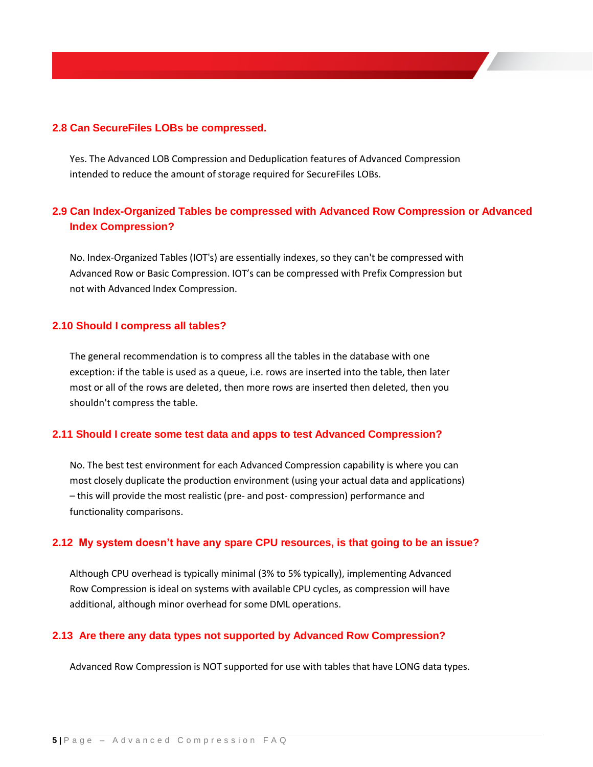#### **2.8 Can SecureFiles LOBs be compressed.**

Yes. The Advanced LOB Compression and Deduplication features of Advanced Compression intended to reduce the amount of storage required for SecureFiles LOBs.

## **2.9 Can Index-Organized Tables be compressed with Advanced Row Compression or Advanced Index Compression?**

No. Index-Organized Tables (IOT's) are essentially indexes, so they can't be compressed with Advanced Row or Basic Compression. IOT's can be compressed with Prefix Compression but not with Advanced Index Compression.

#### **2.10 Should I compress all tables?**

The general recommendation is to compress all the tables in the database with one exception: if the table is used as a queue, i.e. rows are inserted into the table, then later most or all of the rows are deleted, then more rows are inserted then deleted, then you shouldn't compress the table.

#### **2.11 Should I create some test data and apps to test Advanced Compression?**

No. The best test environment for each Advanced Compression capability is where you can most closely duplicate the production environment (using your actual data and applications) – this will provide the most realistic (pre- and post- compression) performance and functionality comparisons.

#### **2.12 My system doesn't have any spare CPU resources, is that going to be an issue?**

Although CPU overhead is typically minimal (3% to 5% typically), implementing Advanced Row Compression is ideal on systems with available CPU cycles, as compression will have additional, although minor overhead for some DML operations.

#### **2.13 Are there any data types not supported by Advanced Row Compression?**

Advanced Row Compression is NOT supported for use with tables that have LONG data types.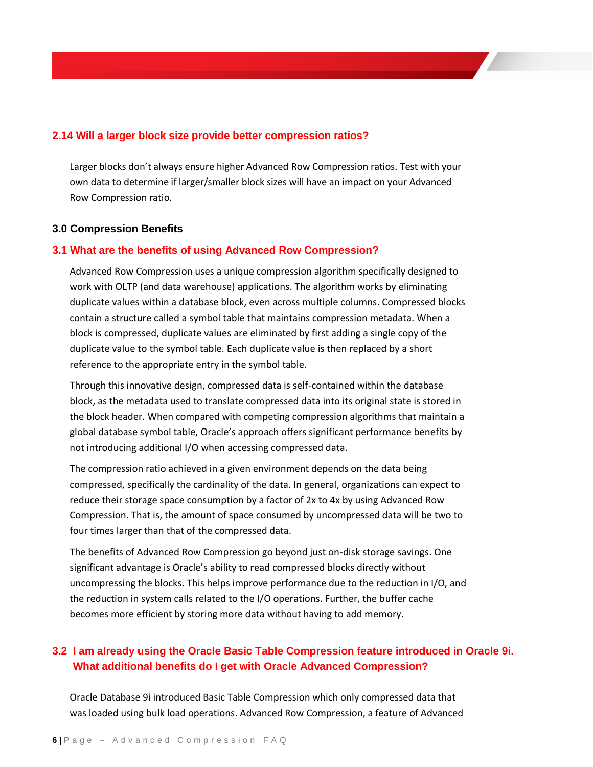### **2.14 Will a larger block size provide better compression ratios?**

Larger blocks don't always ensure higher Advanced Row Compression ratios. Test with your own data to determine if larger/smaller block sizes will have an impact on your Advanced Row Compression ratio.

#### **3.0 Compression Benefits**

#### **3.1 What are the benefits of using Advanced Row Compression?**

Advanced Row Compression uses a unique compression algorithm specifically designed to work with OLTP (and data warehouse) applications. The algorithm works by eliminating duplicate values within a database block, even across multiple columns. Compressed blocks contain a structure called a symbol table that maintains compression metadata. When a block is compressed, duplicate values are eliminated by first adding a single copy of the duplicate value to the symbol table. Each duplicate value is then replaced by a short reference to the appropriate entry in the symbol table.

Through this innovative design, compressed data is self-contained within the database block, as the metadata used to translate compressed data into its original state is stored in the block header. When compared with competing compression algorithms that maintain a global database symbol table, Oracle's approach offers significant performance benefits by not introducing additional I/O when accessing compressed data.

The compression ratio achieved in a given environment depends on the data being compressed, specifically the cardinality of the data. In general, organizations can expect to reduce their storage space consumption by a factor of 2x to 4x by using Advanced Row Compression. That is, the amount of space consumed by uncompressed data will be two to four times larger than that of the compressed data.

The benefits of Advanced Row Compression go beyond just on-disk storage savings. One significant advantage is Oracle's ability to read compressed blocks directly without uncompressing the blocks. This helps improve performance due to the reduction in I/O, and the reduction in system calls related to the I/O operations. Further, the buffer cache becomes more efficient by storing more data without having to add memory.

# **3.2 I am already using the Oracle Basic Table Compression feature introduced in Oracle 9i. What additional benefits do I get with Oracle Advanced Compression?**

Oracle Database 9i introduced Basic Table Compression which only compressed data that was loaded using bulk load operations. Advanced Row Compression, a feature of Advanced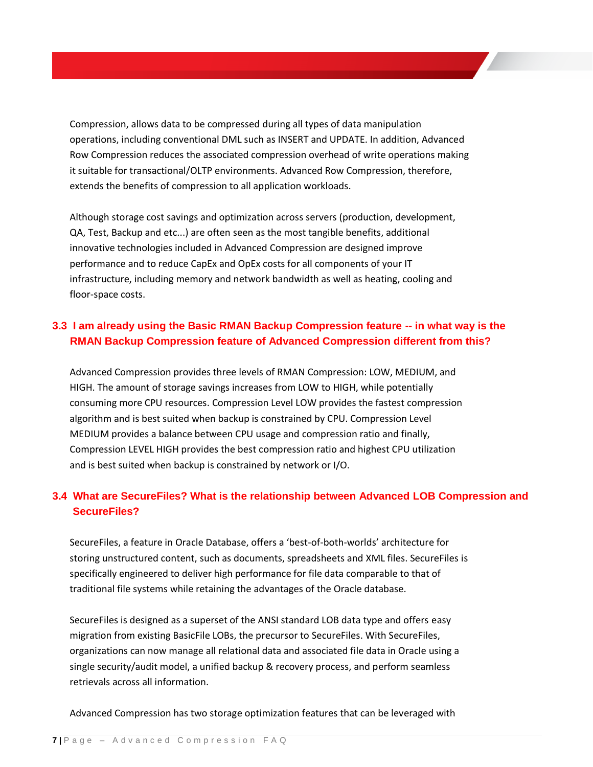Compression, allows data to be compressed during all types of data manipulation operations, including conventional DML such as INSERT and UPDATE. In addition, Advanced Row Compression reduces the associated compression overhead of write operations making it suitable for transactional/OLTP environments. Advanced Row Compression, therefore, extends the benefits of compression to all application workloads.

Although storage cost savings and optimization across servers (production, development, QA, Test, Backup and etc...) are often seen as the most tangible benefits, additional innovative technologies included in Advanced Compression are designed improve performance and to reduce CapEx and OpEx costs for all components of your IT infrastructure, including memory and network bandwidth as well as heating, cooling and floor-space costs.

# **3.3 I am already using the Basic RMAN Backup Compression feature -- in what way is the RMAN Backup Compression feature of Advanced Compression different from this?**

Advanced Compression provides three levels of RMAN Compression: LOW, MEDIUM, and HIGH. The amount of storage savings increases from LOW to HIGH, while potentially consuming more CPU resources. Compression Level LOW provides the fastest compression algorithm and is best suited when backup is constrained by CPU. Compression Level MEDIUM provides a balance between CPU usage and compression ratio and finally, Compression LEVEL HIGH provides the best compression ratio and highest CPU utilization and is best suited when backup is constrained by network or I/O.

# **3.4 What are SecureFiles? What is the relationship between Advanced LOB Compression and SecureFiles?**

SecureFiles, a feature in Oracle Database, offers a 'best-of-both-worlds' architecture for storing unstructured content, such as documents, spreadsheets and XML files. SecureFiles is specifically engineered to deliver high performance for file data comparable to that of traditional file systems while retaining the advantages of the Oracle database.

SecureFiles is designed as a superset of the ANSI standard LOB data type and offers easy migration from existing BasicFile LOBs, the precursor to SecureFiles. With SecureFiles, organizations can now manage all relational data and associated file data in Oracle using a single security/audit model, a unified backup & recovery process, and perform seamless retrievals across all information.

Advanced Compression has two storage optimization features that can be leveraged with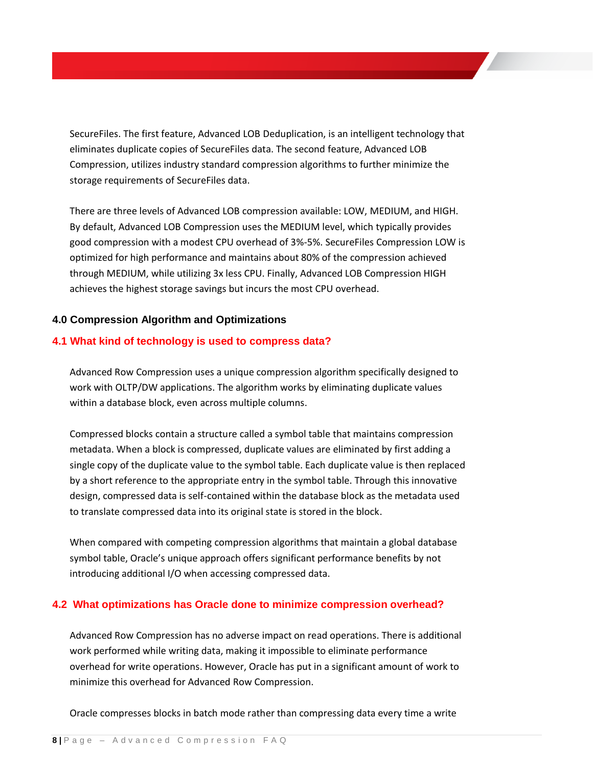SecureFiles. The first feature, Advanced LOB Deduplication, is an intelligent technology that eliminates duplicate copies of SecureFiles data. The second feature, Advanced LOB Compression, utilizes industry standard compression algorithms to further minimize the storage requirements of SecureFiles data.

There are three levels of Advanced LOB compression available: LOW, MEDIUM, and HIGH. By default, Advanced LOB Compression uses the MEDIUM level, which typically provides good compression with a modest CPU overhead of 3%-5%. SecureFiles Compression LOW is optimized for high performance and maintains about 80% of the compression achieved through MEDIUM, while utilizing 3x less CPU. Finally, Advanced LOB Compression HIGH achieves the highest storage savings but incurs the most CPU overhead.

### **4.0 Compression Algorithm and Optimizations**

#### **4.1 What kind of technology is used to compress data?**

Advanced Row Compression uses a unique compression algorithm specifically designed to work with OLTP/DW applications. The algorithm works by eliminating duplicate values within a database block, even across multiple columns.

Compressed blocks contain a structure called a symbol table that maintains compression metadata. When a block is compressed, duplicate values are eliminated by first adding a single copy of the duplicate value to the symbol table. Each duplicate value is then replaced by a short reference to the appropriate entry in the symbol table. Through this innovative design, compressed data is self-contained within the database block as the metadata used to translate compressed data into its original state is stored in the block.

When compared with competing compression algorithms that maintain a global database symbol table, Oracle's unique approach offers significant performance benefits by not introducing additional I/O when accessing compressed data.

### **4.2 What optimizations has Oracle done to minimize compression overhead?**

Advanced Row Compression has no adverse impact on read operations. There is additional work performed while writing data, making it impossible to eliminate performance overhead for write operations. However, Oracle has put in a significant amount of work to minimize this overhead for Advanced Row Compression.

Oracle compresses blocks in batch mode rather than compressing data every time a write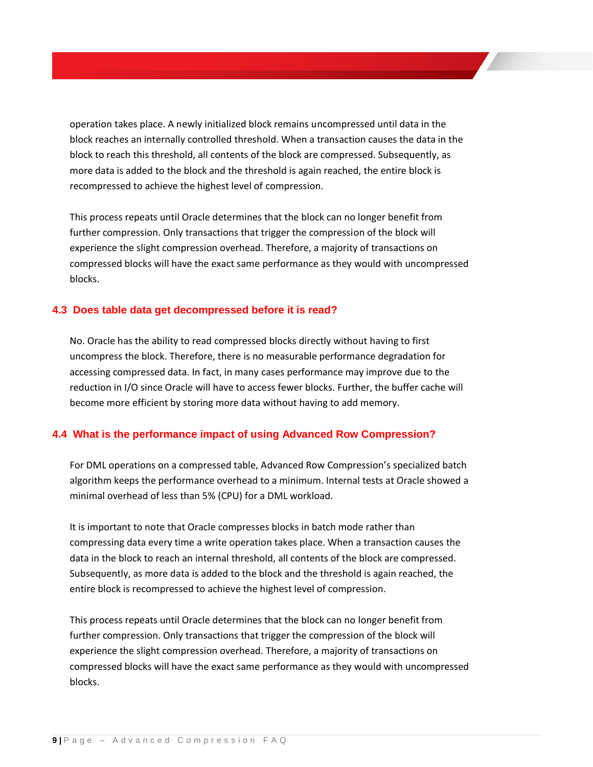operation takes place. A newly initialized block remains uncompressed until data in the block reaches an internally controlled threshold. When a transaction causes the data in the block to reach this threshold, all contents of the block are compressed. Subsequently, as more data is added to the block and the threshold is again reached, the entire block is recompressed to achieve the highest level of compression.

This process repeats until Oracle determines that the block can no longer benefit from further compression. Only transactions that trigger the compression of the block will experience the slight compression overhead. Therefore, a majority of transactions on compressed blocks will have the exact same performance as they would with uncompressed blocks.

#### **4.3 Does table data get decompressed before it is read?**

No. Oracle has the ability to read compressed blocks directly without having to first uncompress the block. Therefore, there is no measurable performance degradation for accessing compressed data. In fact, in many cases performance may improve due to the reduction in I/O since Oracle will have to access fewer blocks. Further, the buffer cache will become more efficient by storing more data without having to add memory.

#### **4.4 What is the performance impact of using Advanced Row Compression?**

For DML operations on a compressed table, Advanced Row Compression's specialized batch algorithm keeps the performance overhead to a minimum. Internal tests at Oracle showed a minimal overhead of less than 5% (CPU) for a DML workload.

It is important to note that Oracle compresses blocks in batch mode rather than compressing data every time a write operation takes place. When a transaction causes the data in the block to reach an internal threshold, all contents of the block are compressed. Subsequently, as more data is added to the block and the threshold is again reached, the entire block is recompressed to achieve the highest level of compression.

This process repeats until Oracle determines that the block can no longer benefit from further compression. Only transactions that trigger the compression of the block will experience the slight compression overhead. Therefore, a majority of transactions on compressed blocks will have the exact same performance as they would with uncompressed blocks.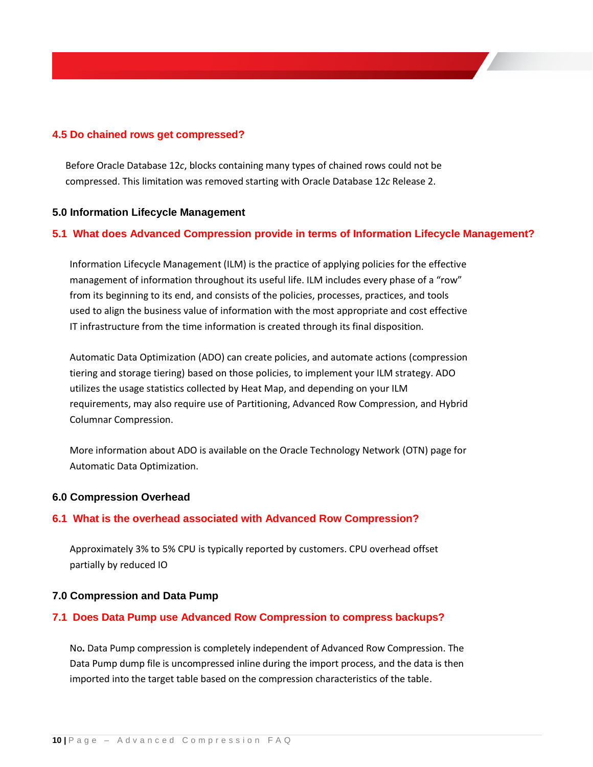### **4.5 Do chained rows get compressed?**

Before Oracle Database 12*c*, blocks containing many types of chained rows could not be compressed. This limitation was removed starting with Oracle Database 12*c* Release 2.

#### **5.0 Information Lifecycle Management**

### **5.1 What does Advanced Compression provide in terms of Information Lifecycle Management?**

Information Lifecycle Management (ILM) is the practice of applying policies for the effective management of information throughout its useful life. ILM includes every phase of a "row" from its beginning to its end, and consists of the policies, processes, practices, and tools used to align the business value of information with the most appropriate and cost effective IT infrastructure from the time information is created through its final disposition.

Automatic Data Optimization (ADO) can create policies, and automate actions (compression tiering and storage tiering) based on those policies, to implement your ILM strategy. ADO utilizes the usage statistics collected by Heat Map, and depending on your ILM requirements, may also require use of Partitioning, Advanced Row Compression, and Hybrid Columnar Compression.

More information about ADO is available on the Oracle Technology Network (OTN) page for Automatic Data Optimization.

#### **6.0 Compression Overhead**

#### **6.1 What is the overhead associated with Advanced Row Compression?**

Approximately 3% to 5% CPU is typically reported by customers. CPU overhead offset partially by reduced IO

#### **7.0 Compression and Data Pump**

#### **7.1 Does Data Pump use Advanced Row Compression to compress backups?**

No**.** Data Pump compression is completely independent of Advanced Row Compression. The Data Pump dump file is uncompressed inline during the import process, and the data is then imported into the target table based on the compression characteristics of the table.